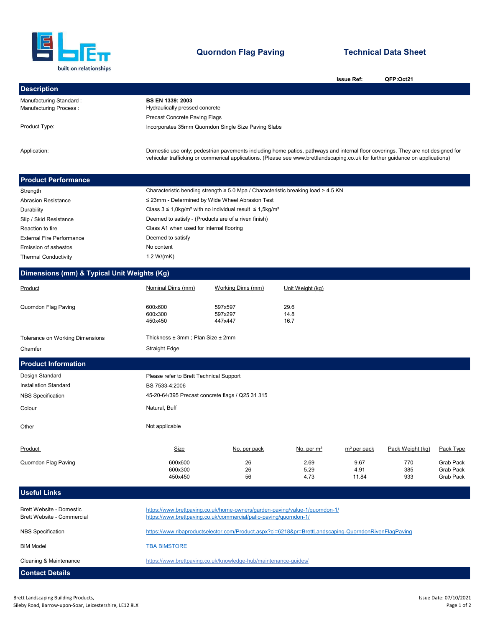

## Quorndon Flag Paving

## Technical Data Sheet

Issue Ref: QFP:Oct21

| <b>Description</b>                                     |                                                                                                                                                                                                                                                                   |                                                                                                    |                      |                         |                   |                                     |  |
|--------------------------------------------------------|-------------------------------------------------------------------------------------------------------------------------------------------------------------------------------------------------------------------------------------------------------------------|----------------------------------------------------------------------------------------------------|----------------------|-------------------------|-------------------|-------------------------------------|--|
| Manufacturing Standard:                                | <b>BS EN 1339: 2003</b>                                                                                                                                                                                                                                           |                                                                                                    |                      |                         |                   |                                     |  |
| Manufacturing Process:                                 | Hydraulically pressed concrete                                                                                                                                                                                                                                    |                                                                                                    |                      |                         |                   |                                     |  |
|                                                        |                                                                                                                                                                                                                                                                   | Precast Concrete Paving Flags                                                                      |                      |                         |                   |                                     |  |
| Product Type:                                          |                                                                                                                                                                                                                                                                   | Incorporates 35mm Quorndon Single Size Paving Slabs                                                |                      |                         |                   |                                     |  |
| Application:                                           | Domestic use only; pedestrian pavements including home patios, pathways and internal floor coverings. They are not designed for<br>vehicular trafficking or commerical applications. (Please see www.brettlandscaping.co.uk for further guidance on applications) |                                                                                                    |                      |                         |                   |                                     |  |
| <b>Product Performance</b>                             |                                                                                                                                                                                                                                                                   |                                                                                                    |                      |                         |                   |                                     |  |
| Strength                                               |                                                                                                                                                                                                                                                                   | Characteristic bending strength $\geq 5.0$ Mpa / Characteristic breaking load $> 4.5$ KN           |                      |                         |                   |                                     |  |
| <b>Abrasion Resistance</b>                             |                                                                                                                                                                                                                                                                   | ≤ 23mm - Determined by Wide Wheel Abrasion Test                                                    |                      |                         |                   |                                     |  |
| Durability                                             |                                                                                                                                                                                                                                                                   | Class $3 \le 1.0$ kg/m <sup>2</sup> with no individual result $\le 1.5$ kg/m <sup>2</sup>          |                      |                         |                   |                                     |  |
| Slip / Skid Resistance                                 |                                                                                                                                                                                                                                                                   | Deemed to satisfy - (Products are of a riven finish)                                               |                      |                         |                   |                                     |  |
| Reaction to fire                                       | Class A1 when used for internal flooring                                                                                                                                                                                                                          |                                                                                                    |                      |                         |                   |                                     |  |
| <b>External Fire Performance</b>                       | Deemed to satisfy                                                                                                                                                                                                                                                 |                                                                                                    |                      |                         |                   |                                     |  |
| Emission of asbestos                                   | No content                                                                                                                                                                                                                                                        |                                                                                                    |                      |                         |                   |                                     |  |
| <b>Thermal Conductivity</b>                            | 1.2 $W/(mK)$                                                                                                                                                                                                                                                      |                                                                                                    |                      |                         |                   |                                     |  |
| Dimensions (mm) & Typical Unit Weights (Kg)            |                                                                                                                                                                                                                                                                   |                                                                                                    |                      |                         |                   |                                     |  |
| Product                                                | Nominal Dims (mm)                                                                                                                                                                                                                                                 | <b>Working Dims (mm)</b>                                                                           | Unit Weight (kg)     |                         |                   |                                     |  |
| Quorndon Flag Paving                                   | 600x600<br>600x300<br>450x450                                                                                                                                                                                                                                     | 597x597<br>597x297<br>447x447                                                                      | 29.6<br>14.8<br>16.7 |                         |                   |                                     |  |
| Tolerance on Working Dimensions                        |                                                                                                                                                                                                                                                                   | Thickness ± 3mm; Plan Size ± 2mm                                                                   |                      |                         |                   |                                     |  |
| Chamfer                                                | Straight Edge                                                                                                                                                                                                                                                     |                                                                                                    |                      |                         |                   |                                     |  |
| <b>Product Information</b>                             |                                                                                                                                                                                                                                                                   |                                                                                                    |                      |                         |                   |                                     |  |
| Design Standard                                        | Please refer to Brett Technical Support                                                                                                                                                                                                                           |                                                                                                    |                      |                         |                   |                                     |  |
| <b>Installation Standard</b>                           | BS 7533-4:2006                                                                                                                                                                                                                                                    |                                                                                                    |                      |                         |                   |                                     |  |
| <b>NBS</b> Specification                               | 45-20-64/395 Precast concrete flags / Q25 31 315                                                                                                                                                                                                                  |                                                                                                    |                      |                         |                   |                                     |  |
| Colour                                                 | Natural, Buff                                                                                                                                                                                                                                                     |                                                                                                    |                      |                         |                   |                                     |  |
| Other                                                  | Not applicable                                                                                                                                                                                                                                                    |                                                                                                    |                      |                         |                   |                                     |  |
| Product                                                | <b>Size</b>                                                                                                                                                                                                                                                       | No. per pack                                                                                       | No. per $m2$         | m <sup>2</sup> per pack | Pack Weight (kg)  | Pack Type                           |  |
| Quorndon Flag Paving                                   | 600x600<br>600x300<br>450x450                                                                                                                                                                                                                                     | 26<br>26<br>56                                                                                     | 2.69<br>5.29<br>4.73 | 9.67<br>4.91<br>11.84   | 770<br>385<br>933 | Grab Pack<br>Grab Pack<br>Grab Pack |  |
| <b>Useful Links</b>                                    |                                                                                                                                                                                                                                                                   |                                                                                                    |                      |                         |                   |                                     |  |
| Brett Website - Domestic<br>Brett Website - Commercial | https://www.brettpaving.co.uk/home-owners/garden-paving/value-1/guorndon-1/<br>https://www.brettpaving.co.uk/commercial/patio-paving/quorndon-1/                                                                                                                  |                                                                                                    |                      |                         |                   |                                     |  |
| <b>NBS</b> Specification                               |                                                                                                                                                                                                                                                                   | https://www.ribaproductselector.com/Product.aspx?ci=6218≺=BrettLandscaping-QuorndonRivenFlagPaving |                      |                         |                   |                                     |  |
| <b>BIM Model</b>                                       | <b>TBA BIMSTORE</b>                                                                                                                                                                                                                                               |                                                                                                    |                      |                         |                   |                                     |  |
| Cleaning & Maintenance                                 |                                                                                                                                                                                                                                                                   | https://www.brettpaving.co.uk/knowledge-hub/maintenance-guides/                                    |                      |                         |                   |                                     |  |
| <b>Contact Details</b>                                 |                                                                                                                                                                                                                                                                   |                                                                                                    |                      |                         |                   |                                     |  |